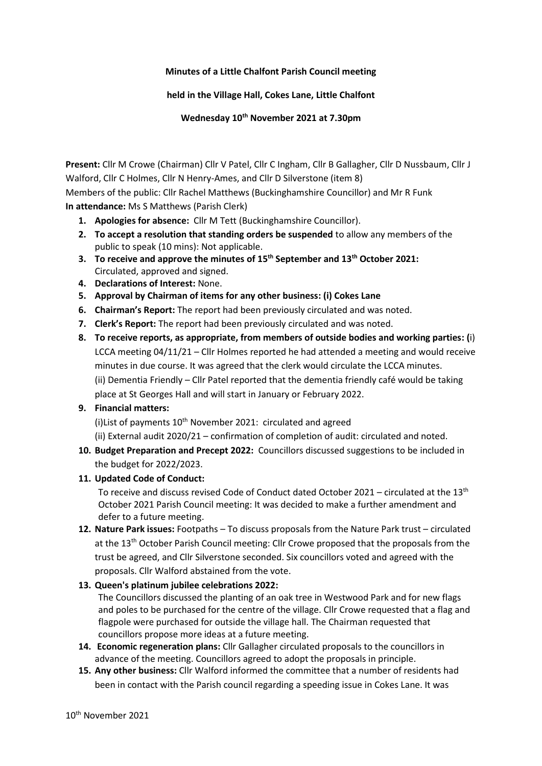#### **Minutes of a Little Chalfont Parish Council meeting**

#### **held in the Village Hall, Cokes Lane, Little Chalfont**

**Wednesday 10th November 2021 at 7.30pm**

**Present:** Cllr M Crowe (Chairman) Cllr V Patel, Cllr C Ingham, Cllr B Gallagher, Cllr D Nussbaum, Cllr J Walford, Cllr C Holmes, Cllr N Henry-Ames, and Cllr D Silverstone (item 8) Members of the public: Cllr Rachel Matthews (Buckinghamshire Councillor) and Mr R Funk **In attendance:** Ms S Matthews (Parish Clerk)

- **1. Apologies for absence:** Cllr M Tett (Buckinghamshire Councillor).
- **2. To accept a resolution that standing orders be suspended** to allow any members of the public to speak (10 mins): Not applicable.
- **3. To receive and approve the minutes of 15th September and 13th October 2021:** Circulated, approved and signed.
- **4. Declarations of Interest:** None.
- **5. Approval by Chairman of items for any other business: (i) Cokes Lane**
- **6. Chairman's Report:** The report had been previously circulated and was noted.
- **7. Clerk's Report:** The report had been previously circulated and was noted.
- **8. To receive reports, as appropriate, from members of outside bodies and working parties: (**i) LCCA meeting 04/11/21 – Cllr Holmes reported he had attended a meeting and would receive minutes in due course. It was agreed that the clerk would circulate the LCCA minutes. (ii) Dementia Friendly – Cllr Patel reported that the dementia friendly café would be taking place at St Georges Hall and will start in January or February 2022.

## **9. Financial matters:**

(i) List of payments 10<sup>th</sup> November 2021: circulated and agreed

(ii) External audit 2020/21 – confirmation of completion of audit: circulated and noted.

**10. Budget Preparation and Precept 2022:** Councillors discussed suggestions to be included in the budget for 2022/2023.

## **11. Updated Code of Conduct:**

To receive and discuss revised Code of Conduct dated October 2021 – circulated at the 13<sup>th</sup> October 2021 Parish Council meeting: It was decided to make a further amendment and defer to a future meeting.

**12. Nature Park issues:** Footpaths – To discuss proposals from the Nature Park trust – circulated at the 13<sup>th</sup> October Parish Council meeting: Cllr Crowe proposed that the proposals from the trust be agreed, and Cllr Silverstone seconded. Six councillors voted and agreed with the proposals. Cllr Walford abstained from the vote.

## **13. Queen's platinum jubilee celebrations 2022:**

The Councillors discussed the planting of an oak tree in Westwood Park and for new flags and poles to be purchased for the centre of the village. Cllr Crowe requested that a flag and flagpole were purchased for outside the village hall. The Chairman requested that councillors propose more ideas at a future meeting.

- **14. Economic regeneration plans:** Cllr Gallagher circulated proposals to the councillors in advance of the meeting. Councillors agreed to adopt the proposals in principle.
- **15. Any other business:** Cllr Walford informed the committee that a number of residents had been in contact with the Parish council regarding a speeding issue in Cokes Lane. It was